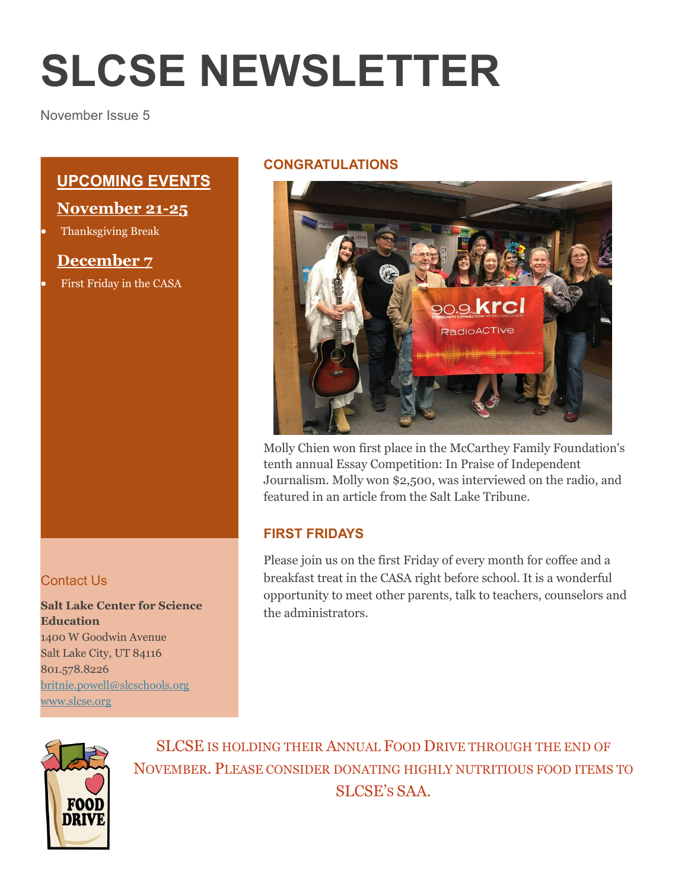# **SLCSE NEWSLETTER**

November Issue 5

# **UPCOMING EVENTS**

### **November 21-25**

Thanksgiving Break

## **December 7**

First Friday in the CASA

#### Contact Us

**Salt Lake Center for Science Education** 1400 W Goodwin Avenue Salt Lake City, UT 84116 801.578.8226 [britnie.powell@slcschools.org](mailto:britnie.powell@slcschools.org) [www.slcse.org](http://www.slcse.org/)

#### **CONGRATULATIONS**



Molly Chien won first place in the McCarthey Family Foundation's tenth annual Essay Competition: In Praise of Independent Journalism. Molly won \$2,500, was interviewed on the radio, and featured in an article from the Salt Lake Tribune.

#### **FIRST FRIDAYS**

Please join us on the first Friday of every month for coffee and a breakfast treat in the CASA right before school. It is a wonderful opportunity to meet other parents, talk to teachers, counselors and the administrators.



SLCSE IS HOLDING THEIR ANNUAL FOOD DRIVE THROUGH THE END OF NOVEMBER. PLEASE CONSIDER DONATING HIGHLY NUTRITIOUS FOOD ITEMS TO SLCSE'S SAA.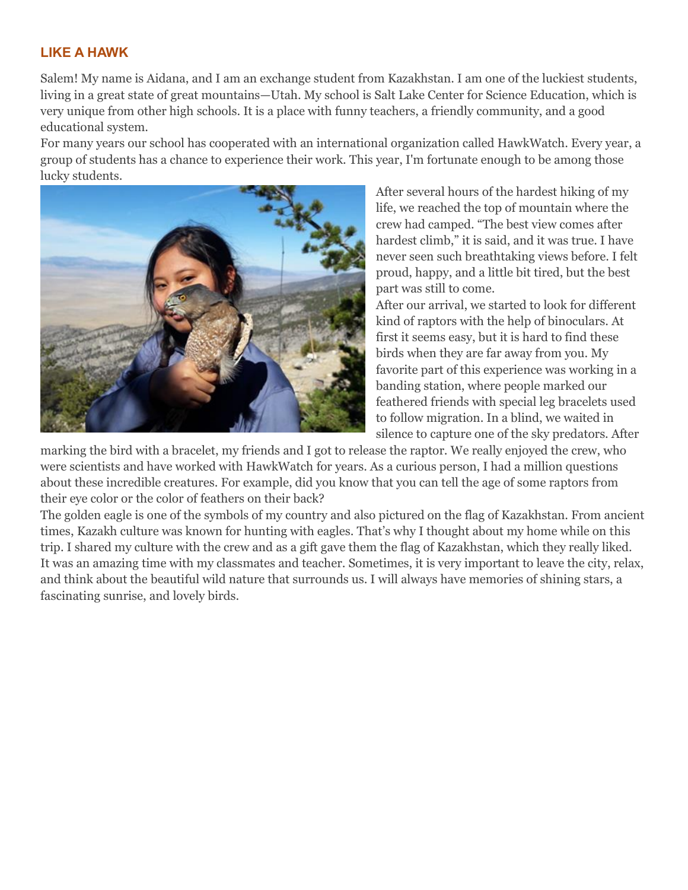#### **LIKE A HAWK**

Salem! My name is Aidana, and I am an exchange student from Kazakhstan. I am one of the luckiest students, living in a great state of great mountains—Utah. My school is Salt Lake Center for Science Education, which is very unique from other high schools. It is a place with funny teachers, a friendly community, and a good educational system.

For many years our school has cooperated with an international organization called HawkWatch. Every year, a group of students has a chance to experience their work. This year, I'm fortunate enough to be among those lucky students.



After several hours of the hardest hiking of my life, we reached the top of mountain where the crew had camped. "The best view comes after hardest climb," it is said, and it was true. I have never seen such breathtaking views before. I felt proud, happy, and a little bit tired, but the best part was still to come.

After our arrival, we started to look for different kind of raptors with the help of binoculars. At first it seems easy, but it is hard to find these birds when they are far away from you. My favorite part of this experience was working in a banding station, where people marked our feathered friends with special leg bracelets used to follow migration. In a blind, we waited in silence to capture one of the sky predators. After

marking the bird with a bracelet, my friends and I got to release the raptor. We really enjoyed the crew, who were scientists and have worked with HawkWatch for years. As a curious person, I had a million questions about these incredible creatures. For example, did you know that you can tell the age of some raptors from their eye color or the color of feathers on their back?

The golden eagle is one of the symbols of my country and also pictured on the flag of Kazakhstan. From ancient times, Kazakh culture was known for hunting with eagles. That's why I thought about my home while on this trip. I shared my culture with the crew and as a gift gave them the flag of Kazakhstan, which they really liked. It was an amazing time with my classmates and teacher. Sometimes, it is very important to leave the city, relax, and think about the beautiful wild nature that surrounds us. I will always have memories of shining stars, a fascinating sunrise, and lovely birds.